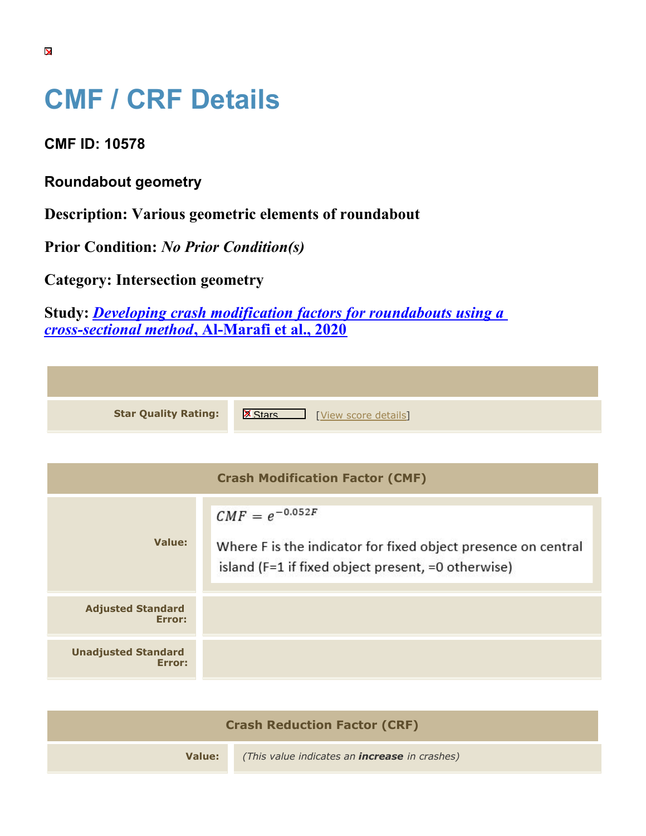## **CMF / CRF Details**

**CMF ID: 10578**

**Roundabout geometry**

**Description: Various geometric elements of roundabout**

**Prior Condition:** *No Prior Condition(s)*

**Category: Intersection geometry**

**Study:** *[Developing crash modification factors for roundabouts using a](https://cmfclearinghouse.org/study_detail.cfm?stid=610) [cross-sectional method](https://cmfclearinghouse.org/study_detail.cfm?stid=610)***[, Al-Marafi et al., 2020](https://cmfclearinghouse.org/study_detail.cfm?stid=610)**

| <b>Star Quality Rating:</b> | <b>X</b><br>[View score details] |
|-----------------------------|----------------------------------|

|                                      | <b>Crash Modification Factor (CMF)</b>                                                                                                     |
|--------------------------------------|--------------------------------------------------------------------------------------------------------------------------------------------|
| Value:                               | $CMF = e^{-0.052F}$<br>Where F is the indicator for fixed object presence on central<br>island (F=1 if fixed object present, =0 otherwise) |
| <b>Adjusted Standard</b><br>Error:   |                                                                                                                                            |
| <b>Unadjusted Standard</b><br>Error: |                                                                                                                                            |

| <b>Crash Reduction Factor (CRF)</b> |                                                      |
|-------------------------------------|------------------------------------------------------|
| Value:                              | (This value indicates an <b>increase</b> in crashes) |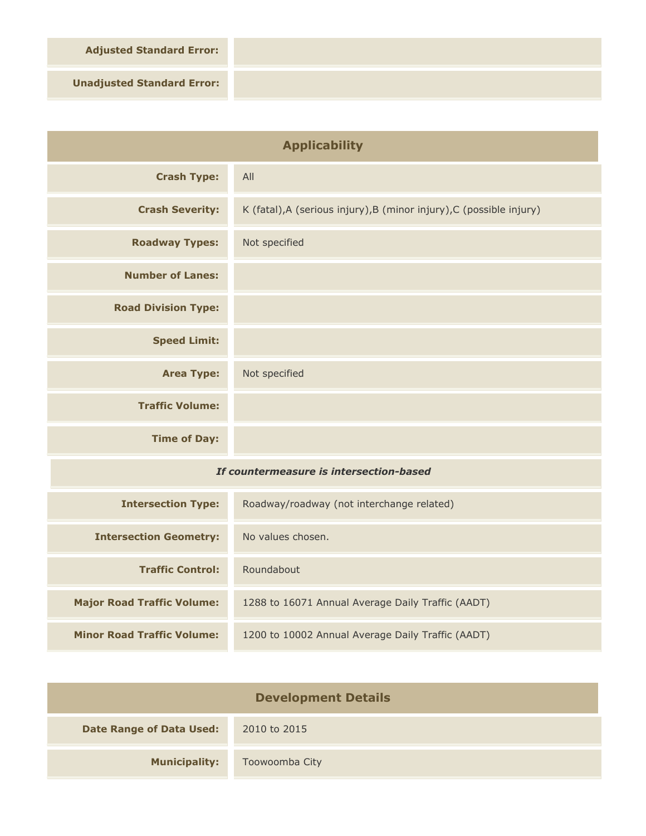**Adjusted Standard Error:**

**Unadjusted Standard Error:**

| <b>Applicability</b>                    |                                                                      |
|-----------------------------------------|----------------------------------------------------------------------|
| <b>Crash Type:</b>                      | All                                                                  |
| <b>Crash Severity:</b>                  | K (fatal), A (serious injury), B (minor injury), C (possible injury) |
| <b>Roadway Types:</b>                   | Not specified                                                        |
| <b>Number of Lanes:</b>                 |                                                                      |
| <b>Road Division Type:</b>              |                                                                      |
| <b>Speed Limit:</b>                     |                                                                      |
| <b>Area Type:</b>                       | Not specified                                                        |
| <b>Traffic Volume:</b>                  |                                                                      |
| <b>Time of Day:</b>                     |                                                                      |
| If countermeasure is intersection-based |                                                                      |
| <b>Intersection Type:</b>               | Roadway/roadway (not interchange related)                            |
| <b>Intersection Geometry:</b>           | No values chosen.                                                    |
| <b>Traffic Control:</b>                 | Roundabout                                                           |
| <b>Major Road Traffic Volume:</b>       | 1288 to 16071 Annual Average Daily Traffic (AADT)                    |
| <b>Minor Road Traffic Volume:</b>       | 1200 to 10002 Annual Average Daily Traffic (AADT)                    |

| <b>Development Details</b>      |                |
|---------------------------------|----------------|
| <b>Date Range of Data Used:</b> | 2010 to 2015   |
| <b>Municipality:</b>            | Toowoomba City |